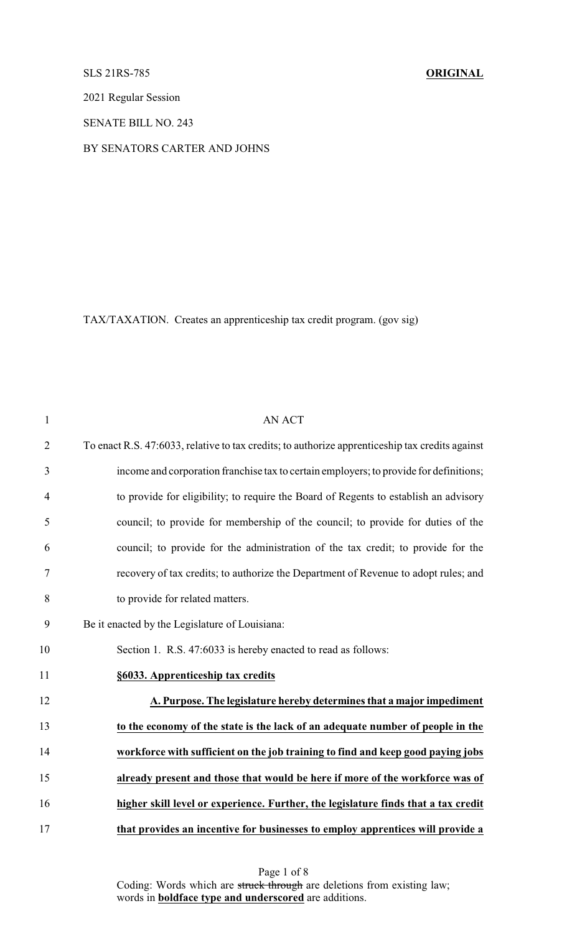# SLS 21RS-785 **ORIGINAL**

2021 Regular Session

SENATE BILL NO. 243

### BY SENATORS CARTER AND JOHNS

TAX/TAXATION. Creates an apprenticeship tax credit program. (gov sig)

| $\mathbf{1}$   | <b>AN ACT</b>                                                                                   |
|----------------|-------------------------------------------------------------------------------------------------|
| $\overline{2}$ | To enact R.S. 47:6033, relative to tax credits; to authorize apprenticeship tax credits against |
| $\mathfrak{Z}$ | income and corporation franchise tax to certain employers; to provide for definitions;          |
| 4              | to provide for eligibility; to require the Board of Regents to establish an advisory            |
| 5              | council; to provide for membership of the council; to provide for duties of the                 |
| 6              | council; to provide for the administration of the tax credit; to provide for the                |
| $\tau$         | recovery of tax credits; to authorize the Department of Revenue to adopt rules; and             |
| 8              | to provide for related matters.                                                                 |
| 9              | Be it enacted by the Legislature of Louisiana:                                                  |
| 10             | Section 1. R.S. 47:6033 is hereby enacted to read as follows:                                   |
| 11             | §6033. Apprenticeship tax credits                                                               |
| 12             | A. Purpose. The legislature hereby determines that a major impediment                           |
| 13             | to the economy of the state is the lack of an adequate number of people in the                  |
| 14             | workforce with sufficient on the job training to find and keep good paying jobs                 |
| 15             | already present and those that would be here if more of the workforce was of                    |
| 16             | higher skill level or experience. Further, the legislature finds that a tax credit              |
| 17             | that provides an incentive for businesses to employ apprentices will provide a                  |

Page 1 of 8 Coding: Words which are struck through are deletions from existing law; words in **boldface type and underscored** are additions.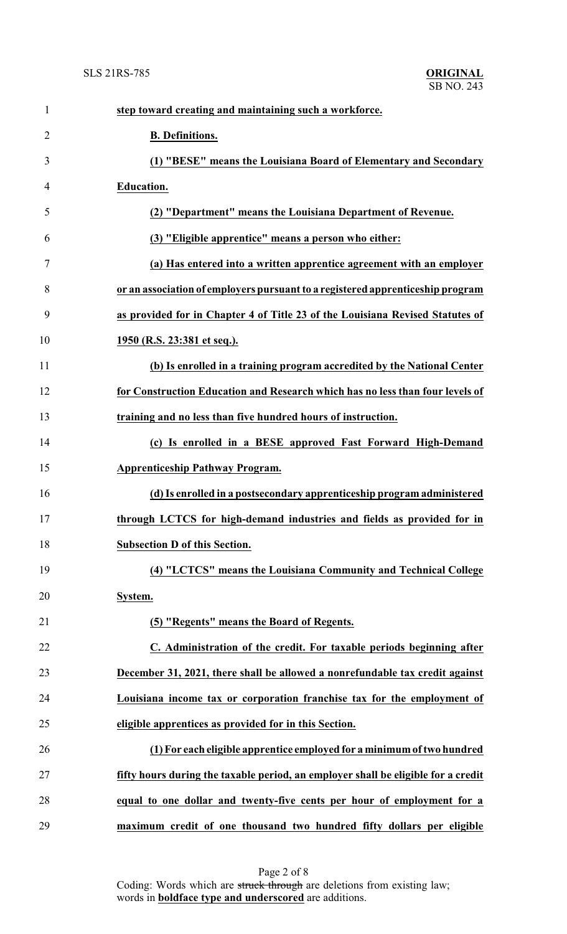| $\mathbf{1}$   | step toward creating and maintaining such a workforce.                            |
|----------------|-----------------------------------------------------------------------------------|
| $\overline{2}$ | <b>B.</b> Definitions.                                                            |
| 3              | (1) "BESE" means the Louisiana Board of Elementary and Secondary                  |
| 4              | <b>Education.</b>                                                                 |
| 5              | (2) "Department" means the Louisiana Department of Revenue.                       |
| 6              | (3) "Eligible apprentice" means a person who either:                              |
| 7              | (a) Has entered into a written apprentice agreement with an employer              |
| 8              | or an association of employers pursuant to a registered apprenticeship program    |
| 9              | as provided for in Chapter 4 of Title 23 of the Louisiana Revised Statutes of     |
| 10             | 1950 (R.S. 23:381 et seq.).                                                       |
| 11             | (b) Is enrolled in a training program accredited by the National Center           |
| 12             | for Construction Education and Research which has no less than four levels of     |
| 13             | training and no less than five hundred hours of instruction.                      |
| 14             | (c) Is enrolled in a BESE approved Fast Forward High-Demand                       |
| 15             | <b>Apprenticeship Pathway Program.</b>                                            |
| 16             | (d) Is enrolled in a postsecondary apprenticeship program administered            |
| 17             | through LCTCS for high-demand industries and fields as provided for in            |
| 18             | <b>Subsection D of this Section.</b>                                              |
| 19             | (4) "LCTCS" means the Louisiana Community and Technical College                   |
| 20             | System.                                                                           |
| 21             | (5) "Regents" means the Board of Regents.                                         |
| 22             | C. Administration of the credit. For taxable periods beginning after              |
| 23             | December 31, 2021, there shall be allowed a nonrefundable tax credit against      |
| 24             | Louisiana income tax or corporation franchise tax for the employment of           |
| 25             | eligible apprentices as provided for in this Section.                             |
| 26             | (1) For each eligible apprentice employed for a minimum of two hundred            |
| 27             | fifty hours during the taxable period, an employer shall be eligible for a credit |
| 28             | equal to one dollar and twenty-five cents per hour of employment for a            |
| 29             | maximum credit of one thousand two hundred fifty dollars per eligible             |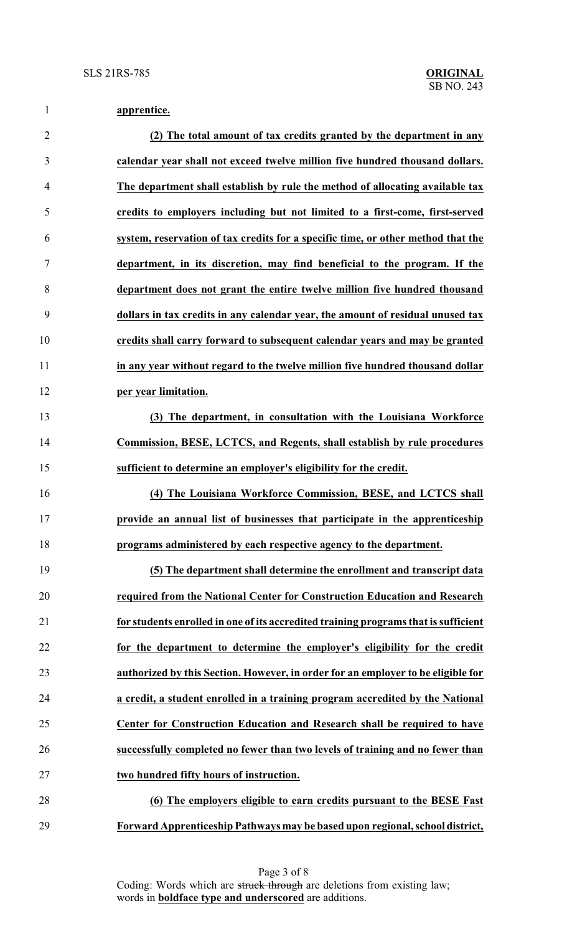# **apprentice.**

| $\overline{2}$ | (2) The total amount of tax credits granted by the department in any                |
|----------------|-------------------------------------------------------------------------------------|
| 3              | calendar year shall not exceed twelve million five hundred thousand dollars.        |
| $\overline{4}$ | The department shall establish by rule the method of allocating available tax       |
| 5              | credits to employers including but not limited to a first-come, first-served        |
| 6              | system, reservation of tax credits for a specific time, or other method that the    |
| $\tau$         | department, in its discretion, may find beneficial to the program. If the           |
| 8              | department does not grant the entire twelve million five hundred thousand           |
| 9              | dollars in tax credits in any calendar year, the amount of residual unused tax      |
| 10             | credits shall carry forward to subsequent calendar years and may be granted         |
| 11             | in any year without regard to the twelve million five hundred thousand dollar       |
| 12             | per year limitation.                                                                |
| 13             | (3) The department, in consultation with the Louisiana Workforce                    |
| 14             | Commission, BESE, LCTCS, and Regents, shall establish by rule procedures            |
| 15             | sufficient to determine an employer's eligibility for the credit.                   |
| 16             | (4) The Louisiana Workforce Commission, BESE, and LCTCS shall                       |
| 17             | provide an annual list of businesses that participate in the apprenticeship         |
| 18             | programs administered by each respective agency to the department.                  |
| 19             | (5) The department shall determine the enrollment and transcript data               |
| 20             | required from the National Center for Construction Education and Research           |
| 21             | for students enrolled in one of its accredited training programs that is sufficient |
| 22             | for the department to determine the employer's eligibility for the credit           |
| 23             | authorized by this Section. However, in order for an employer to be eligible for    |
| 24             | a credit, a student enrolled in a training program accredited by the National       |
| 25             | Center for Construction Education and Research shall be required to have            |
| 26             | successfully completed no fewer than two levels of training and no fewer than       |
| 27             | two hundred fifty hours of instruction.                                             |
| 28             | (6) The employers eligible to earn credits pursuant to the BESE Fast                |
| 29             | Forward Apprenticeship Pathways may be based upon regional, school district,        |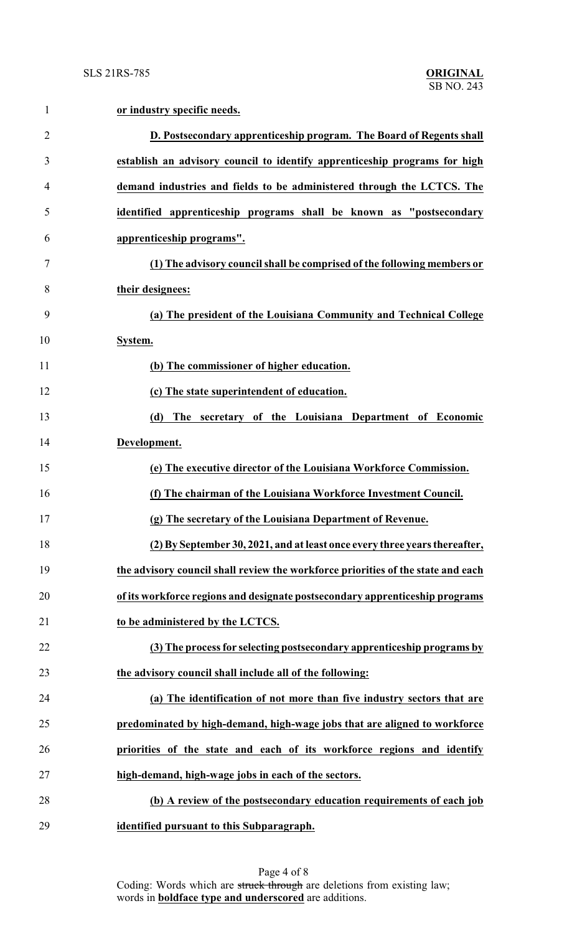| 1              | or industry specific needs.                                                      |
|----------------|----------------------------------------------------------------------------------|
| $\overline{2}$ | D. Postsecondary apprenticeship program. The Board of Regents shall              |
| 3              | establish an advisory council to identify apprenticeship programs for high       |
| 4              | demand industries and fields to be administered through the LCTCS. The           |
| 5              | identified apprenticeship programs shall be known as "postsecondary              |
| 6              | apprenticeship programs".                                                        |
| 7              | (1) The advisory council shall be comprised of the following members or          |
| 8              | their designees:                                                                 |
| 9              | (a) The president of the Louisiana Community and Technical College               |
| 10             | System.                                                                          |
| 11             | (b) The commissioner of higher education.                                        |
| 12             | (c) The state superintendent of education.                                       |
| 13             | (d) The secretary of the Louisiana Department of Economic                        |
| 14             | Development.                                                                     |
| 15             | (e) The executive director of the Louisiana Workforce Commission.                |
| 16             | (f) The chairman of the Louisiana Workforce Investment Council.                  |
| 17             | (g) The secretary of the Louisiana Department of Revenue.                        |
| 18             | (2) By September 30, 2021, and at least once every three years thereafter,       |
| 19             | the advisory council shall review the workforce priorities of the state and each |
| 20             | of its workforce regions and designate postsecondary apprenticeship programs     |
| 21             | to be administered by the LCTCS.                                                 |
| 22             | (3) The process for selecting postsecondary apprenticeship programs by           |
| 23             | the advisory council shall include all of the following:                         |
| 24             | (a) The identification of not more than five industry sectors that are           |
| 25             | predominated by high-demand, high-wage jobs that are aligned to workforce        |
| 26             | priorities of the state and each of its workforce regions and identify           |
| 27             | high-demand, high-wage jobs in each of the sectors.                              |
| 28             | (b) A review of the postsecondary education requirements of each job             |
| 29             | identified pursuant to this Subparagraph.                                        |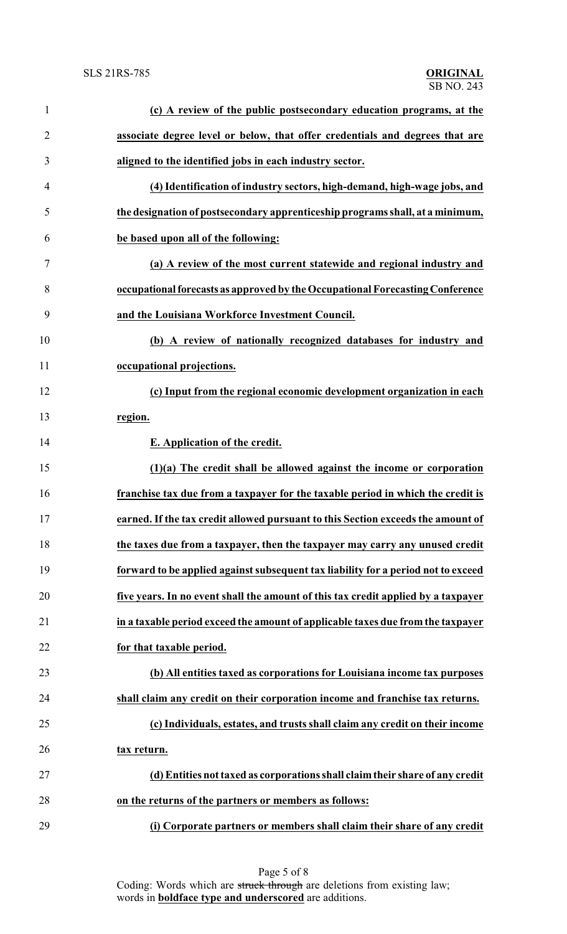| $\mathbf{1}$   | (c) A review of the public postsecondary education programs, at the               |
|----------------|-----------------------------------------------------------------------------------|
| $\overline{2}$ | associate degree level or below, that offer credentials and degrees that are      |
| 3              | aligned to the identified jobs in each industry sector.                           |
| 4              | (4) Identification of industry sectors, high-demand, high-wage jobs, and          |
| 5              | the designation of postsecondary apprenticeship programs shall, at a minimum,     |
| 6              | be based upon all of the following:                                               |
| 7              | (a) A review of the most current statewide and regional industry and              |
| 8              | occupational forecasts as approved by the Occupational Forecasting Conference     |
| 9              | and the Louisiana Workforce Investment Council.                                   |
| 10             | (b) A review of nationally recognized databases for industry and                  |
| 11             | occupational projections.                                                         |
| 12             | (c) Input from the regional economic development organization in each             |
| 13             | region.                                                                           |
| 14             | E. Application of the credit.                                                     |
| 15             | $(1)(a)$ The credit shall be allowed against the income or corporation            |
| 16             | franchise tax due from a taxpayer for the taxable period in which the credit is   |
| 17             | earned. If the tax credit allowed pursuant to this Section exceeds the amount of  |
| 18             | the taxes due from a taxpayer, then the taxpayer may carry any unused credit      |
| 19             | forward to be applied against subsequent tax liability for a period not to exceed |
| 20             | five years. In no event shall the amount of this tax credit applied by a taxpayer |
| 21             | in a taxable period exceed the amount of applicable taxes due from the taxpayer   |
| 22             | for that taxable period.                                                          |
| 23             | (b) All entities taxed as corporations for Louisiana income tax purposes          |
| 24             | shall claim any credit on their corporation income and franchise tax returns.     |
| 25             | (c) Individuals, estates, and trusts shall claim any credit on their income       |
| 26             | tax return.                                                                       |
| 27             | (d) Entities not taxed as corporations shall claim their share of any credit      |
| 28             | on the returns of the partners or members as follows:                             |
| 29             | (i) Corporate partners or members shall claim their share of any credit           |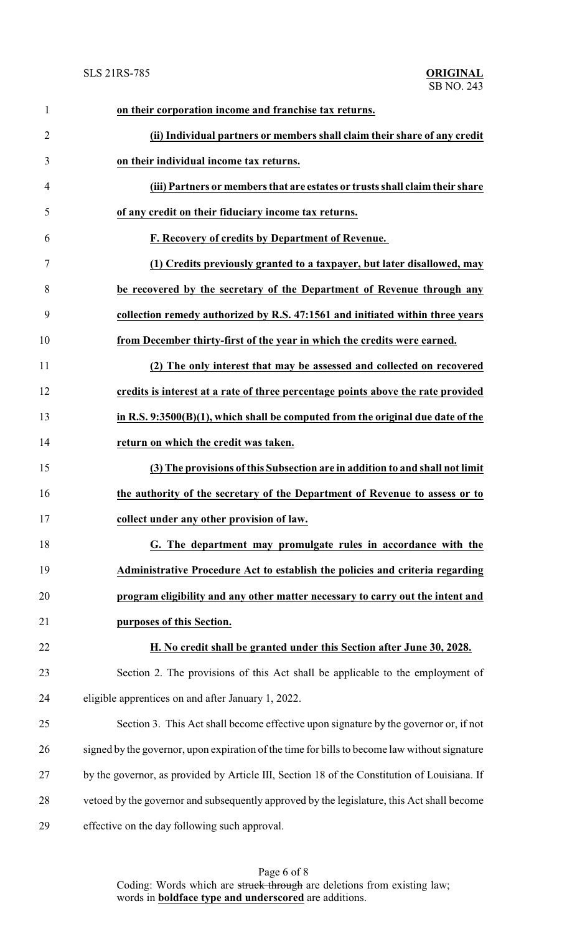| $\mathbf{1}$   | on their corporation income and franchise tax returns.                                        |
|----------------|-----------------------------------------------------------------------------------------------|
| $\overline{2}$ | (ii) Individual partners or members shall claim their share of any credit                     |
| 3              | on their individual income tax returns.                                                       |
| $\overline{4}$ | (iii) Partners or members that are estates or trusts shall claim their share                  |
| 5              | of any credit on their fiduciary income tax returns.                                          |
| 6              | F. Recovery of credits by Department of Revenue.                                              |
| 7              | (1) Credits previously granted to a taxpayer, but later disallowed, may                       |
| 8              | be recovered by the secretary of the Department of Revenue through any                        |
| 9              | collection remedy authorized by R.S. 47:1561 and initiated within three years                 |
| 10             | from December thirty-first of the year in which the credits were earned.                      |
| 11             | (2) The only interest that may be assessed and collected on recovered                         |
| 12             | credits is interest at a rate of three percentage points above the rate provided              |
| 13             | in R.S. $9:3500(B)(1)$ , which shall be computed from the original due date of the            |
| 14             | return on which the credit was taken.                                                         |
| 15             | (3) The provisions of this Subsection are in addition to and shall not limit                  |
| 16             | the authority of the secretary of the Department of Revenue to assess or to                   |
| 17             | collect under any other provision of law.                                                     |
| 18             | G. The department may promulgate rules in accordance with the                                 |
| 19             | Administrative Procedure Act to establish the policies and criteria regarding                 |
| 20             | program eligibility and any other matter necessary to carry out the intent and                |
| 21             | purposes of this Section.                                                                     |
| 22             | H. No credit shall be granted under this Section after June 30, 2028.                         |
| 23             | Section 2. The provisions of this Act shall be applicable to the employment of                |
| 24             | eligible apprentices on and after January 1, 2022.                                            |
| 25             | Section 3. This Act shall become effective upon signature by the governor or, if not          |
| 26             | signed by the governor, upon expiration of the time for bills to become law without signature |
| 27             | by the governor, as provided by Article III, Section 18 of the Constitution of Louisiana. If  |
| 28             | vetoed by the governor and subsequently approved by the legislature, this Act shall become    |
| 29             | effective on the day following such approval.                                                 |

Page 6 of 8 Coding: Words which are struck through are deletions from existing law; words in **boldface type and underscored** are additions.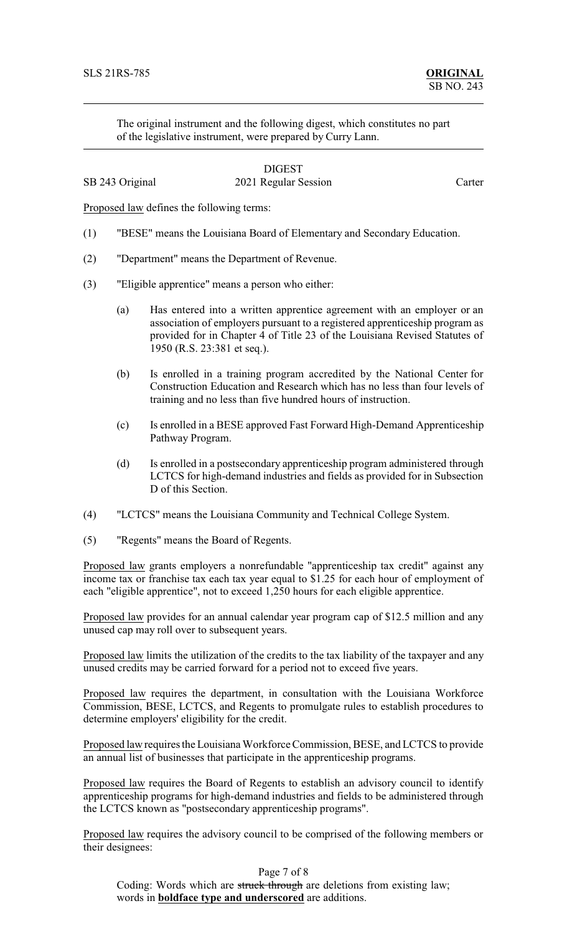The original instrument and the following digest, which constitutes no part of the legislative instrument, were prepared by Curry Lann.

# **DIGEST** SB 243 Original 2021 Regular Session Carter

Proposed law defines the following terms:

- (1) "BESE" means the Louisiana Board of Elementary and Secondary Education.
- (2) "Department" means the Department of Revenue.
- (3) "Eligible apprentice" means a person who either:
	- (a) Has entered into a written apprentice agreement with an employer or an association of employers pursuant to a registered apprenticeship program as provided for in Chapter 4 of Title 23 of the Louisiana Revised Statutes of 1950 (R.S. 23:381 et seq.).
	- (b) Is enrolled in a training program accredited by the National Center for Construction Education and Research which has no less than four levels of training and no less than five hundred hours of instruction.
	- (c) Is enrolled in a BESE approved Fast Forward High-Demand Apprenticeship Pathway Program.
	- (d) Is enrolled in a postsecondary apprenticeship program administered through LCTCS for high-demand industries and fields as provided for in Subsection D of this Section.
- (4) "LCTCS" means the Louisiana Community and Technical College System.
- (5) "Regents" means the Board of Regents.

Proposed law grants employers a nonrefundable "apprenticeship tax credit" against any income tax or franchise tax each tax year equal to \$1.25 for each hour of employment of each "eligible apprentice", not to exceed 1,250 hours for each eligible apprentice.

Proposed law provides for an annual calendar year program cap of \$12.5 million and any unused cap may roll over to subsequent years.

Proposed law limits the utilization of the credits to the tax liability of the taxpayer and any unused credits may be carried forward for a period not to exceed five years.

Proposed law requires the department, in consultation with the Louisiana Workforce Commission, BESE, LCTCS, and Regents to promulgate rules to establish procedures to determine employers' eligibility for the credit.

Proposed law requires the Louisiana Workforce Commission, BESE, and LCTCS to provide an annual list of businesses that participate in the apprenticeship programs.

Proposed law requires the Board of Regents to establish an advisory council to identify apprenticeship programs for high-demand industries and fields to be administered through the LCTCS known as "postsecondary apprenticeship programs".

Proposed law requires the advisory council to be comprised of the following members or their designees:

Page 7 of 8

Coding: Words which are struck through are deletions from existing law; words in **boldface type and underscored** are additions.